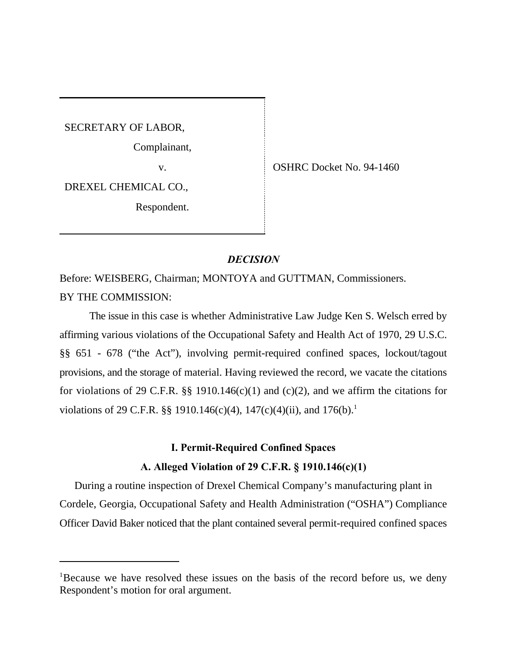SECRETARY OF LABOR,

Complainant,

v. COSHRC Docket No. 94-1460

DREXEL CHEMICAL CO.,

Respondent.

# *DECISION*

Before: WEISBERG, Chairman; MONTOYA and GUTTMAN, Commissioners. BY THE COMMISSION:

The issue in this case is whether Administrative Law Judge Ken S. Welsch erred by affirming various violations of the Occupational Safety and Health Act of 1970, 29 U.S.C. §§ 651 - 678 ("the Act"), involving permit-required confined spaces, lockout/tagout provisions, and the storage of material. Having reviewed the record, we vacate the citations for violations of 29 C.F.R. §§ 1910.146(c)(1) and (c)(2), and we affirm the citations for violations of 29 C.F.R. §§ 1910.146(c)(4), 147(c)(4)(ii), and 176(b).<sup>1</sup>

# **I. Permit-Required Confined Spaces**

# **A. Alleged Violation of 29 C.F.R. § 1910.146(c)(1)**

During a routine inspection of Drexel Chemical Company's manufacturing plant in Cordele, Georgia, Occupational Safety and Health Administration ("OSHA") Compliance Officer David Baker noticed that the plant contained several permit-required confined spaces

<sup>&</sup>lt;sup>1</sup>Because we have resolved these issues on the basis of the record before us, we deny Respondent's motion for oral argument.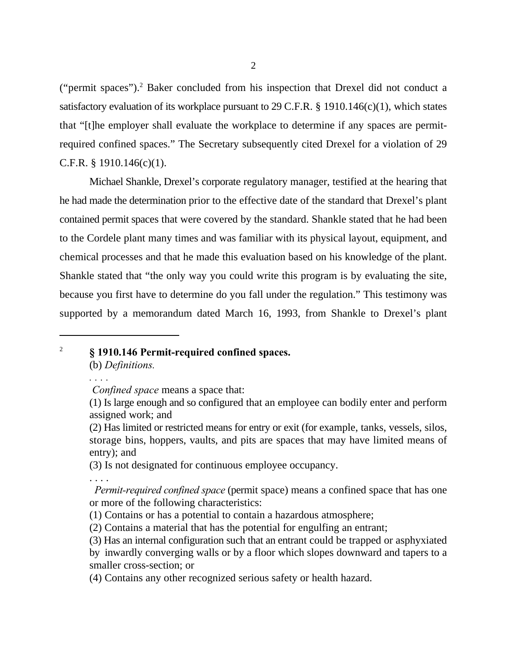("permit spaces").<sup>2</sup> Baker concluded from his inspection that Drexel did not conduct a satisfactory evaluation of its workplace pursuant to 29 C.F.R. § 1910.146(c)(1), which states that "[t]he employer shall evaluate the workplace to determine if any spaces are permitrequired confined spaces." The Secretary subsequently cited Drexel for a violation of 29 C.F.R.  $\S$  1910.146(c)(1).

Michael Shankle, Drexel's corporate regulatory manager, testified at the hearing that he had made the determination prior to the effective date of the standard that Drexel's plant contained permit spaces that were covered by the standard. Shankle stated that he had been to the Cordele plant many times and was familiar with its physical layout, equipment, and chemical processes and that he made this evaluation based on his knowledge of the plant. Shankle stated that "the only way you could write this program is by evaluating the site, because you first have to determine do you fall under the regulation." This testimony was supported by a memorandum dated March 16, 1993, from Shankle to Drexel's plant

# **§ 1910.146 Permit-required confined spaces.** <sup>2</sup>

(b) *Definitions.*

*. . . .*

(3) Is not designated for continuous employee occupancy.

. . . .

*Confined space* means a space that:

<sup>(1)</sup> Is large enough and so configured that an employee can bodily enter and perform assigned work; and

<sup>(2)</sup> Has limited or restricted means for entry or exit (for example, tanks, vessels, silos, storage bins, hoppers, vaults, and pits are spaces that may have limited means of entry); and

*Permit-required confined space* (permit space) means a confined space that has one or more of the following characteristics:

<sup>(1)</sup> Contains or has a potential to contain a hazardous atmosphere;

<sup>(2)</sup> Contains a material that has the potential for engulfing an entrant;

<sup>(3)</sup> Has an internal configuration such that an entrant could be trapped or asphyxiated

by inwardly converging walls or by a floor which slopes downward and tapers to a smaller cross-section; or

<sup>(4)</sup> Contains any other recognized serious safety or health hazard.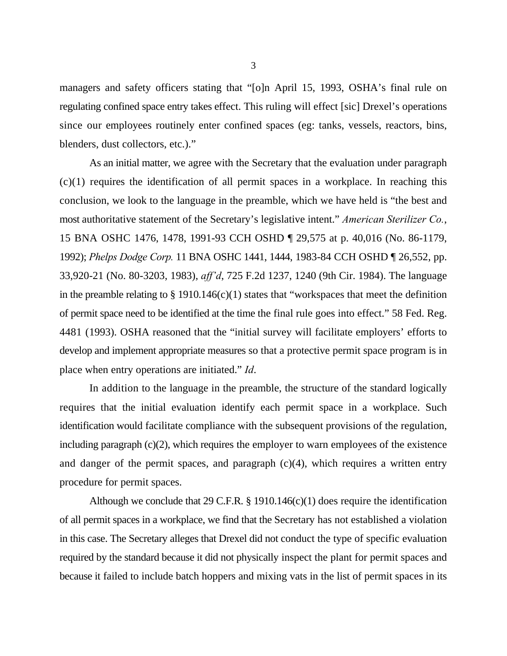managers and safety officers stating that "[o]n April 15, 1993, OSHA's final rule on regulating confined space entry takes effect. This ruling will effect [sic] Drexel's operations since our employees routinely enter confined spaces (eg: tanks, vessels, reactors, bins, blenders, dust collectors, etc.)."

As an initial matter, we agree with the Secretary that the evaluation under paragraph  $(c)(1)$  requires the identification of all permit spaces in a workplace. In reaching this conclusion, we look to the language in the preamble, which we have held is "the best and most authoritative statement of the Secretary's legislative intent." *American Sterilizer Co.*, 15 BNA OSHC 1476, 1478, 1991-93 CCH OSHD ¶ 29,575 at p. 40,016 (No. 86-1179, 1992); *Phelps Dodge Corp.* 11 BNA OSHC 1441, 1444, 1983-84 CCH OSHD ¶ 26,552, pp. 33,920-21 (No. 80-3203, 1983), *aff'd*, 725 F.2d 1237, 1240 (9th Cir. 1984). The language in the preamble relating to  $\S 1910.146(c)(1)$  states that "workspaces that meet the definition of permit space need to be identified at the time the final rule goes into effect." 58 Fed. Reg. 4481 (1993). OSHA reasoned that the "initial survey will facilitate employers' efforts to develop and implement appropriate measures so that a protective permit space program is in place when entry operations are initiated." *Id*.

In addition to the language in the preamble, the structure of the standard logically requires that the initial evaluation identify each permit space in a workplace. Such identification would facilitate compliance with the subsequent provisions of the regulation, including paragraph  $(c)(2)$ , which requires the employer to warn employees of the existence and danger of the permit spaces, and paragraph  $(c)(4)$ , which requires a written entry procedure for permit spaces.

Although we conclude that 29 C.F.R.  $\S$  1910.146(c)(1) does require the identification of all permit spaces in a workplace, we find that the Secretary has not established a violation in this case. The Secretary alleges that Drexel did not conduct the type of specific evaluation required by the standard because it did not physically inspect the plant for permit spaces and because it failed to include batch hoppers and mixing vats in the list of permit spaces in its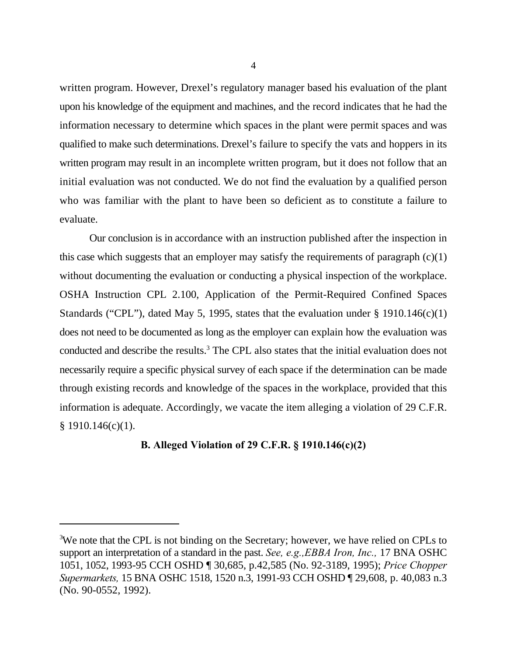written program. However, Drexel's regulatory manager based his evaluation of the plant upon his knowledge of the equipment and machines, and the record indicates that he had the information necessary to determine which spaces in the plant were permit spaces and was qualified to make such determinations. Drexel's failure to specify the vats and hoppers in its written program may result in an incomplete written program, but it does not follow that an initial evaluation was not conducted. We do not find the evaluation by a qualified person who was familiar with the plant to have been so deficient as to constitute a failure to evaluate.

Our conclusion is in accordance with an instruction published after the inspection in this case which suggests that an employer may satisfy the requirements of paragraph  $(c)(1)$ without documenting the evaluation or conducting a physical inspection of the workplace. OSHA Instruction CPL 2.100, Application of the Permit-Required Confined Spaces Standards ("CPL"), dated May 5, 1995, states that the evaluation under  $\S$  1910.146(c)(1) does not need to be documented as long as the employer can explain how the evaluation was conducted and describe the results.<sup>3</sup> The CPL also states that the initial evaluation does not necessarily require a specific physical survey of each space if the determination can be made through existing records and knowledge of the spaces in the workplace, provided that this information is adequate. Accordingly, we vacate the item alleging a violation of 29 C.F.R. § 1910.146(c)(1).

### **B. Alleged Violation of 29 C.F.R. § 1910.146(c)(2)**

<sup>&</sup>lt;sup>3</sup>We note that the CPL is not binding on the Secretary; however, we have relied on CPLs to support an interpretation of a standard in the past. *See, e.g.,EBBA Iron, Inc.,* 17 BNA OSHC 1051, 1052, 1993-95 CCH OSHD ¶ 30,685, p.42,585 (No. 92-3189, 1995); *Price Chopper Supermarkets,* 15 BNA OSHC 1518, 1520 n.3, 1991-93 CCH OSHD ¶ 29,608, p. 40,083 n.3 (No. 90-0552, 1992).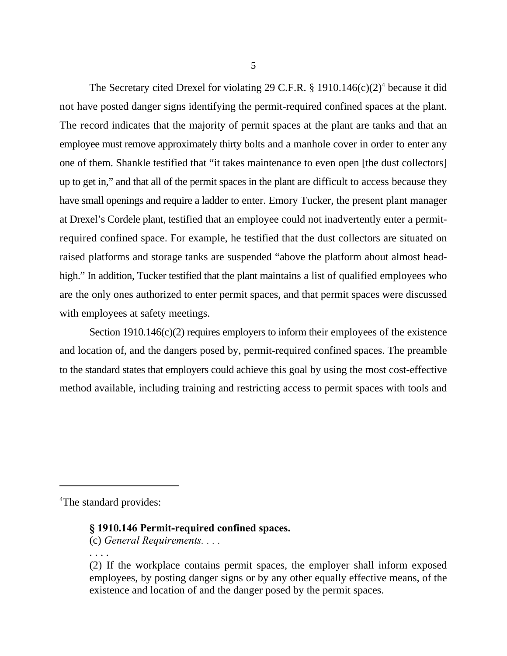The Secretary cited Drexel for violating 29 C.F.R. § 1910.146(c)(2)<sup>4</sup> because it did not have posted danger signs identifying the permit-required confined spaces at the plant. The record indicates that the majority of permit spaces at the plant are tanks and that an employee must remove approximately thirty bolts and a manhole cover in order to enter any one of them. Shankle testified that "it takes maintenance to even open [the dust collectors] up to get in," and that all of the permit spaces in the plant are difficult to access because they have small openings and require a ladder to enter. Emory Tucker, the present plant manager at Drexel's Cordele plant, testified that an employee could not inadvertently enter a permitrequired confined space. For example, he testified that the dust collectors are situated on raised platforms and storage tanks are suspended "above the platform about almost headhigh." In addition, Tucker testified that the plant maintains a list of qualified employees who are the only ones authorized to enter permit spaces, and that permit spaces were discussed with employees at safety meetings.

Section 1910.146(c)(2) requires employers to inform their employees of the existence and location of, and the dangers posed by, permit-required confined spaces. The preamble to the standard states that employers could achieve this goal by using the most cost-effective method available, including training and restricting access to permit spaces with tools and

<sup>4</sup>The standard provides:

### **§ 1910.146 Permit-required confined spaces.**

(c) *General Requirements. . . .*

. . . .

<sup>(2)</sup> If the workplace contains permit spaces, the employer shall inform exposed employees, by posting danger signs or by any other equally effective means, of the existence and location of and the danger posed by the permit spaces.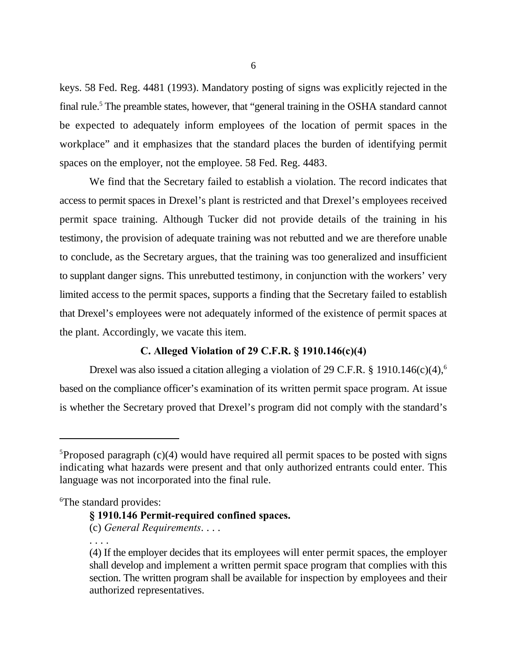keys. 58 Fed. Reg. 4481 (1993). Mandatory posting of signs was explicitly rejected in the final rule.<sup>5</sup> The preamble states, however, that "general training in the OSHA standard cannot be expected to adequately inform employees of the location of permit spaces in the workplace" and it emphasizes that the standard places the burden of identifying permit spaces on the employer, not the employee. 58 Fed. Reg. 4483.

We find that the Secretary failed to establish a violation. The record indicates that access to permit spaces in Drexel's plant is restricted and that Drexel's employees received permit space training. Although Tucker did not provide details of the training in his testimony, the provision of adequate training was not rebutted and we are therefore unable to conclude, as the Secretary argues, that the training was too generalized and insufficient to supplant danger signs. This unrebutted testimony, in conjunction with the workers' very limited access to the permit spaces, supports a finding that the Secretary failed to establish that Drexel's employees were not adequately informed of the existence of permit spaces at the plant. Accordingly, we vacate this item.

## **C. Alleged Violation of 29 C.F.R. § 1910.146(c)(4)**

Drexel was also issued a citation alleging a violation of 29 C.F.R. § 1910.146(c)(4),<sup>6</sup> based on the compliance officer's examination of its written permit space program. At issue is whether the Secretary proved that Drexel's program did not comply with the standard's

<sup>6</sup>The standard provides:

# **§ 1910.146 Permit-required confined spaces.**

(c) *General Requirements*. . . .

. . . .

 ${}^{5}$ Proposed paragraph (c)(4) would have required all permit spaces to be posted with signs indicating what hazards were present and that only authorized entrants could enter. This language was not incorporated into the final rule.

<sup>(4)</sup> If the employer decides that its employees will enter permit spaces, the employer shall develop and implement a written permit space program that complies with this section. The written program shall be available for inspection by employees and their authorized representatives.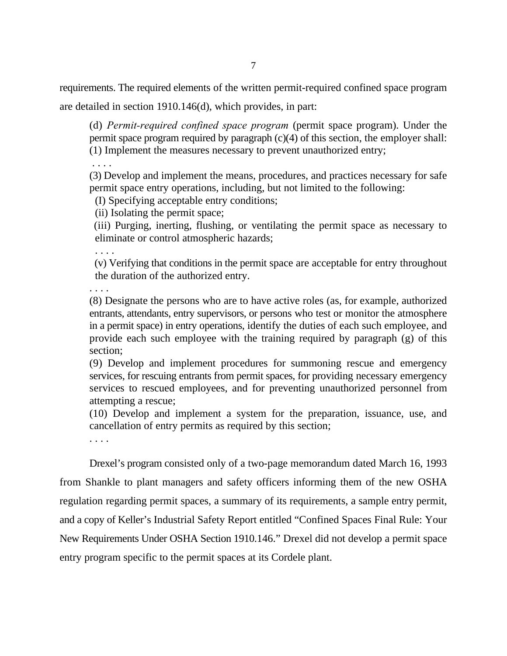requirements. The required elements of the written permit-required confined space program

are detailed in section 1910.146(d), which provides, in part:

(d) *Permit-required confined space program* (permit space program). Under the permit space program required by paragraph (c)(4) of this section, the employer shall: (1) Implement the measures necessary to prevent unauthorized entry;

. . . .

(3) Develop and implement the means, procedures, and practices necessary for safe permit space entry operations, including, but not limited to the following:

(I) Specifying acceptable entry conditions;

(ii) Isolating the permit space;

 (iii) Purging, inerting, flushing, or ventilating the permit space as necessary to eliminate or control atmospheric hazards;

. . . .

 (v) Verifying that conditions in the permit space are acceptable for entry throughout the duration of the authorized entry.

. . . .

(8) Designate the persons who are to have active roles (as, for example, authorized entrants, attendants, entry supervisors, or persons who test or monitor the atmosphere in a permit space) in entry operations, identify the duties of each such employee, and provide each such employee with the training required by paragraph (g) of this section;

(9) Develop and implement procedures for summoning rescue and emergency services, for rescuing entrants from permit spaces, for providing necessary emergency services to rescued employees, and for preventing unauthorized personnel from attempting a rescue;

(10) Develop and implement a system for the preparation, issuance, use, and cancellation of entry permits as required by this section;

. . . .

Drexel's program consisted only of a two-page memorandum dated March 16, 1993 from Shankle to plant managers and safety officers informing them of the new OSHA regulation regarding permit spaces, a summary of its requirements, a sample entry permit, and a copy of Keller's Industrial Safety Report entitled "Confined Spaces Final Rule: Your New Requirements Under OSHA Section 1910.146." Drexel did not develop a permit space entry program specific to the permit spaces at its Cordele plant.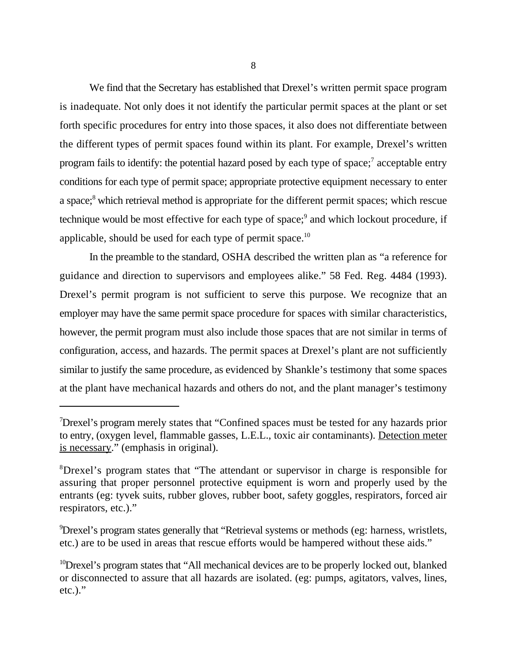We find that the Secretary has established that Drexel's written permit space program is inadequate. Not only does it not identify the particular permit spaces at the plant or set forth specific procedures for entry into those spaces, it also does not differentiate between the different types of permit spaces found within its plant. For example, Drexel's written program fails to identify: the potential hazard posed by each type of space;<sup>7</sup> acceptable entry conditions for each type of permit space; appropriate protective equipment necessary to enter a space;<sup>8</sup> which retrieval method is appropriate for the different permit spaces; which rescue technique would be most effective for each type of space;<sup>9</sup> and which lockout procedure, if applicable, should be used for each type of permit space.<sup>10</sup>

In the preamble to the standard, OSHA described the written plan as "a reference for guidance and direction to supervisors and employees alike." 58 Fed. Reg. 4484 (1993). Drexel's permit program is not sufficient to serve this purpose. We recognize that an employer may have the same permit space procedure for spaces with similar characteristics, however, the permit program must also include those spaces that are not similar in terms of configuration, access, and hazards. The permit spaces at Drexel's plant are not sufficiently similar to justify the same procedure, as evidenced by Shankle's testimony that some spaces at the plant have mechanical hazards and others do not, and the plant manager's testimony

<sup>&</sup>lt;sup>7</sup>Drexel's program merely states that "Confined spaces must be tested for any hazards prior to entry, (oxygen level, flammable gasses, L.E.L., toxic air contaminants). Detection meter is necessary." (emphasis in original).

<sup>&</sup>lt;sup>8</sup>Drexel's program states that "The attendant or supervisor in charge is responsible for assuring that proper personnel protective equipment is worn and properly used by the entrants (eg: tyvek suits, rubber gloves, rubber boot, safety goggles, respirators, forced air respirators, etc.)."

<sup>&</sup>lt;sup>9</sup> Drexel's program states generally that "Retrieval systems or methods (eg: harness, wristlets, etc.) are to be used in areas that rescue efforts would be hampered without these aids."

 $10$ Drexel's program states that "All mechanical devices are to be properly locked out, blanked or disconnected to assure that all hazards are isolated. (eg: pumps, agitators, valves, lines,  $etc.).$ "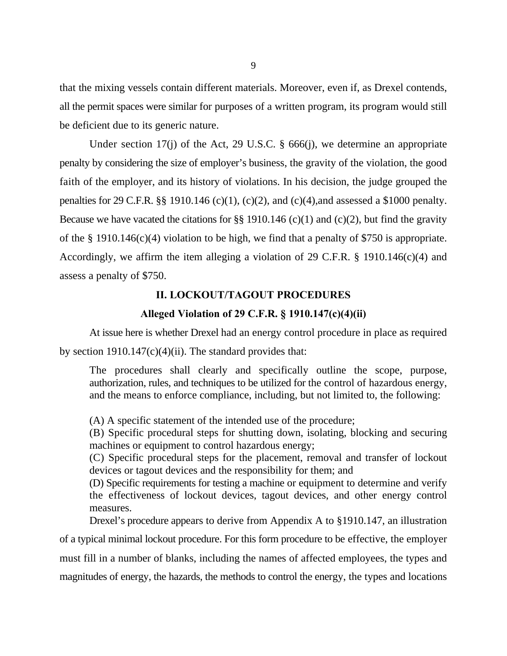that the mixing vessels contain different materials. Moreover, even if, as Drexel contends, all the permit spaces were similar for purposes of a written program, its program would still be deficient due to its generic nature.

Under section 17(j) of the Act, 29 U.S.C. § 666(j), we determine an appropriate penalty by considering the size of employer's business, the gravity of the violation, the good faith of the employer, and its history of violations. In his decision, the judge grouped the penalties for 29 C.F.R.  $\S$  1910.146 (c)(1), (c)(2), and (c)(4), and assessed a \$1000 penalty. Because we have vacated the citations for §§ 1910.146 (c)(1) and (c)(2), but find the gravity of the § 1910.146(c)(4) violation to be high, we find that a penalty of \$750 is appropriate. Accordingly, we affirm the item alleging a violation of 29 C.F.R. § 1910.146(c)(4) and assess a penalty of \$750.

### **II. LOCKOUT/TAGOUT PROCEDURES**

### **Alleged Violation of 29 C.F.R. § 1910.147(c)(4)(ii)**

At issue here is whether Drexel had an energy control procedure in place as required by section  $1910.147(c)(4)(ii)$ . The standard provides that:

The procedures shall clearly and specifically outline the scope, purpose, authorization, rules, and techniques to be utilized for the control of hazardous energy, and the means to enforce compliance, including, but not limited to, the following:

(A) A specific statement of the intended use of the procedure;

(B) Specific procedural steps for shutting down, isolating, blocking and securing machines or equipment to control hazardous energy;

(C) Specific procedural steps for the placement, removal and transfer of lockout devices or tagout devices and the responsibility for them; and

(D) Specific requirements for testing a machine or equipment to determine and verify the effectiveness of lockout devices, tagout devices, and other energy control measures.

Drexel's procedure appears to derive from Appendix A to §1910.147, an illustration of a typical minimal lockout procedure. For this form procedure to be effective, the employer must fill in a number of blanks, including the names of affected employees, the types and magnitudes of energy, the hazards, the methods to control the energy, the types and locations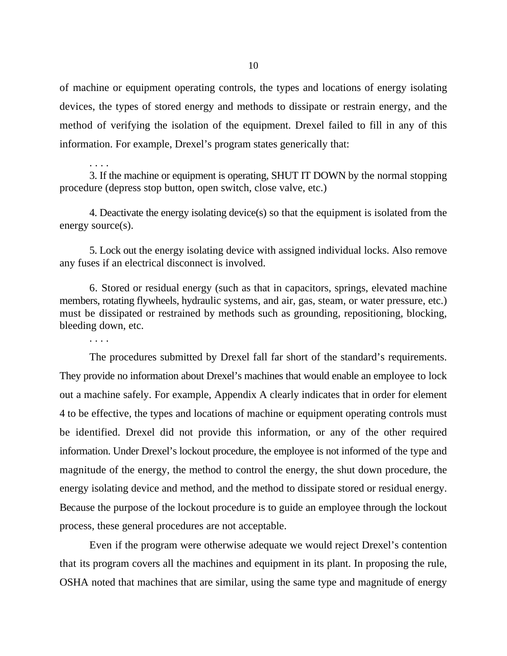of machine or equipment operating controls, the types and locations of energy isolating devices, the types of stored energy and methods to dissipate or restrain energy, and the method of verifying the isolation of the equipment. Drexel failed to fill in any of this information. For example, Drexel's program states generically that:

. . . . 3. If the machine or equipment is operating, SHUT IT DOWN by the normal stopping procedure (depress stop button, open switch, close valve, etc.)

4. Deactivate the energy isolating device(s) so that the equipment is isolated from the energy source(s).

5. Lock out the energy isolating device with assigned individual locks. Also remove any fuses if an electrical disconnect is involved.

6. Stored or residual energy (such as that in capacitors, springs, elevated machine members, rotating flywheels, hydraulic systems, and air, gas, steam, or water pressure, etc.) must be dissipated or restrained by methods such as grounding, repositioning, blocking, bleeding down, etc.

. . . .

The procedures submitted by Drexel fall far short of the standard's requirements. They provide no information about Drexel's machines that would enable an employee to lock out a machine safely. For example, Appendix A clearly indicates that in order for element 4 to be effective, the types and locations of machine or equipment operating controls must be identified. Drexel did not provide this information, or any of the other required information. Under Drexel's lockout procedure, the employee is not informed of the type and magnitude of the energy, the method to control the energy, the shut down procedure, the energy isolating device and method, and the method to dissipate stored or residual energy. Because the purpose of the lockout procedure is to guide an employee through the lockout process, these general procedures are not acceptable.

Even if the program were otherwise adequate we would reject Drexel's contention that its program covers all the machines and equipment in its plant. In proposing the rule, OSHA noted that machines that are similar, using the same type and magnitude of energy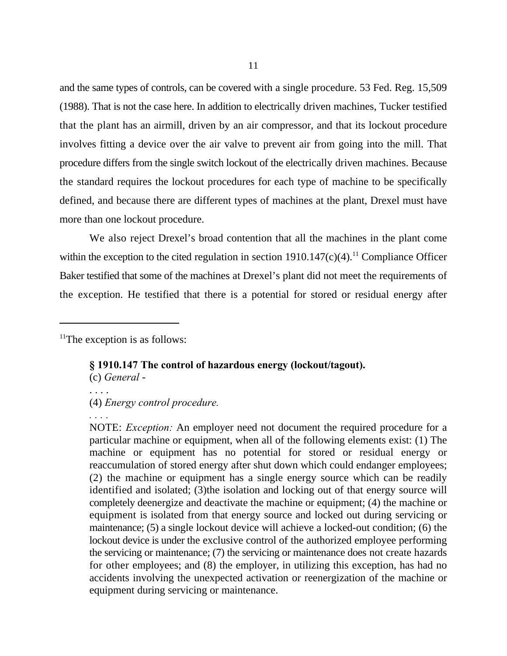and the same types of controls, can be covered with a single procedure. 53 Fed. Reg. 15,509 (1988). That is not the case here. In addition to electrically driven machines, Tucker testified that the plant has an airmill, driven by an air compressor, and that its lockout procedure involves fitting a device over the air valve to prevent air from going into the mill. That procedure differs from the single switch lockout of the electrically driven machines. Because the standard requires the lockout procedures for each type of machine to be specifically defined, and because there are different types of machines at the plant, Drexel must have more than one lockout procedure.

We also reject Drexel's broad contention that all the machines in the plant come within the exception to the cited regulation in section  $1910.147(c)(4)$ .<sup>11</sup> Compliance Officer Baker testified that some of the machines at Drexel's plant did not meet the requirements of the exception. He testified that there is a potential for stored or residual energy after

 $11$ The exception is as follows:

## **§ 1910.147 The control of hazardous energy (lockout/tagout).**

(c) *General* -

. . . .

*. . . .*

(4) *Energy control procedure.*

NOTE: *Exception:* An employer need not document the required procedure for a particular machine or equipment, when all of the following elements exist: (1) The machine or equipment has no potential for stored or residual energy or reaccumulation of stored energy after shut down which could endanger employees; (2) the machine or equipment has a single energy source which can be readily identified and isolated; (3)the isolation and locking out of that energy source will completely deenergize and deactivate the machine or equipment; (4) the machine or equipment is isolated from that energy source and locked out during servicing or maintenance; (5) a single lockout device will achieve a locked-out condition; (6) the lockout device is under the exclusive control of the authorized employee performing the servicing or maintenance; (7) the servicing or maintenance does not create hazards for other employees; and (8) the employer, in utilizing this exception, has had no accidents involving the unexpected activation or reenergization of the machine or equipment during servicing or maintenance.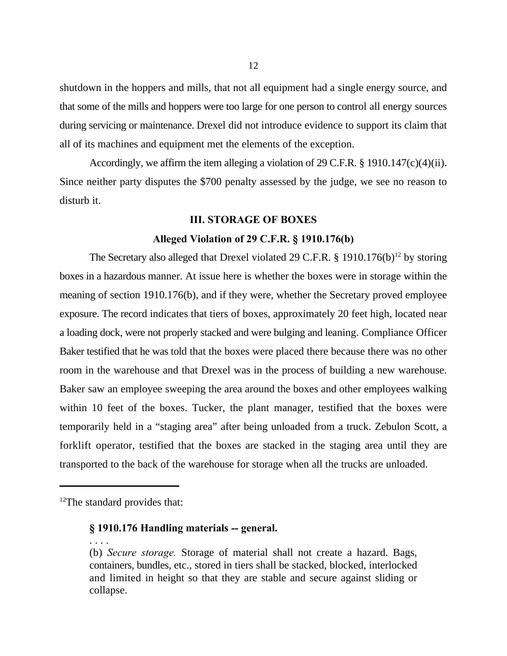shutdown in the hoppers and mills, that not all equipment had a single energy source, and that some of the mills and hoppers were too large for one person to control all energy sources during servicing or maintenance. Drexel did not introduce evidence to support its claim that all of its machines and equipment met the elements of the exception.

Accordingly, we affirm the item alleging a violation of 29 C.F.R. § 1910.147(c)(4)(ii). Since neither party disputes the \$700 penalty assessed by the judge, we see no reason to disturb it.

#### **III. STORAGE OF BOXES**

#### **Alleged Violation of 29 C.F.R. § 1910.176(b)**

The Secretary also alleged that Drexel violated 29 C.F.R. § 1910.176(b)<sup>12</sup> by storing boxes in a hazardous manner. At issue here is whether the boxes were in storage within the meaning of section 1910.176(b), and if they were, whether the Secretary proved employee exposure. The record indicates that tiers of boxes, approximately 20 feet high, located near a loading dock, were not properly stacked and were bulging and leaning. Compliance Officer Baker testified that he was told that the boxes were placed there because there was no other room in the warehouse and that Drexel was in the process of building a new warehouse. Baker saw an employee sweeping the area around the boxes and other employees walking within 10 feet of the boxes. Tucker, the plant manager, testified that the boxes were temporarily held in a "staging area" after being unloaded from a truck. Zebulon Scott, a forklift operator, testified that the boxes are stacked in the staging area until they are transported to the back of the warehouse for storage when all the trucks are unloaded.

. . . .

#### **§ 1910.176 Handling materials -- general.**

(b) *Secure storage.* Storage of material shall not create a hazard. Bags, containers, bundles, etc., stored in tiers shall be stacked, blocked, interlocked and limited in height so that they are stable and secure against sliding or collapse.

 $12$ The standard provides that: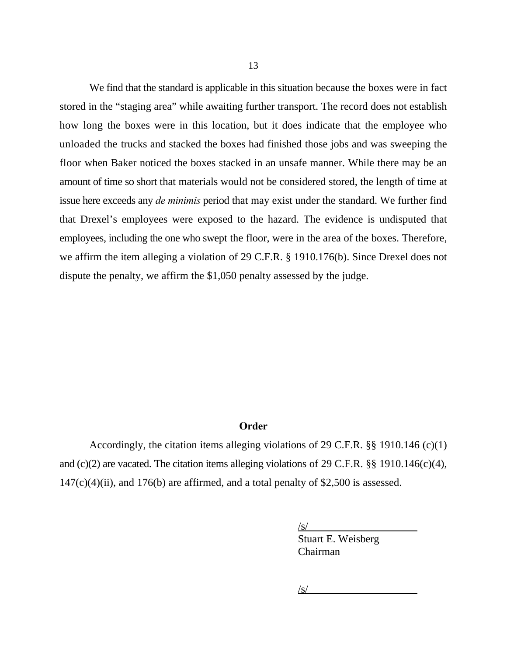We find that the standard is applicable in this situation because the boxes were in fact stored in the "staging area" while awaiting further transport. The record does not establish how long the boxes were in this location, but it does indicate that the employee who unloaded the trucks and stacked the boxes had finished those jobs and was sweeping the floor when Baker noticed the boxes stacked in an unsafe manner. While there may be an amount of time so short that materials would not be considered stored, the length of time at issue here exceeds any *de minimis* period that may exist under the standard. We further find that Drexel's employees were exposed to the hazard. The evidence is undisputed that employees, including the one who swept the floor, were in the area of the boxes. Therefore, we affirm the item alleging a violation of 29 C.F.R. § 1910.176(b). Since Drexel does not dispute the penalty, we affirm the \$1,050 penalty assessed by the judge.

### **Order**

Accordingly, the citation items alleging violations of 29 C.F.R. §§ 1910.146 (c)(1) and (c)(2) are vacated. The citation items alleging violations of 29 C.F.R. §§ 1910.146(c)(4),  $147(c)(4)(ii)$ , and  $176(b)$  are affirmed, and a total penalty of \$2,500 is assessed.

/s/

Stuart E. Weisberg Chairman

 $\sqrt{s}$ /